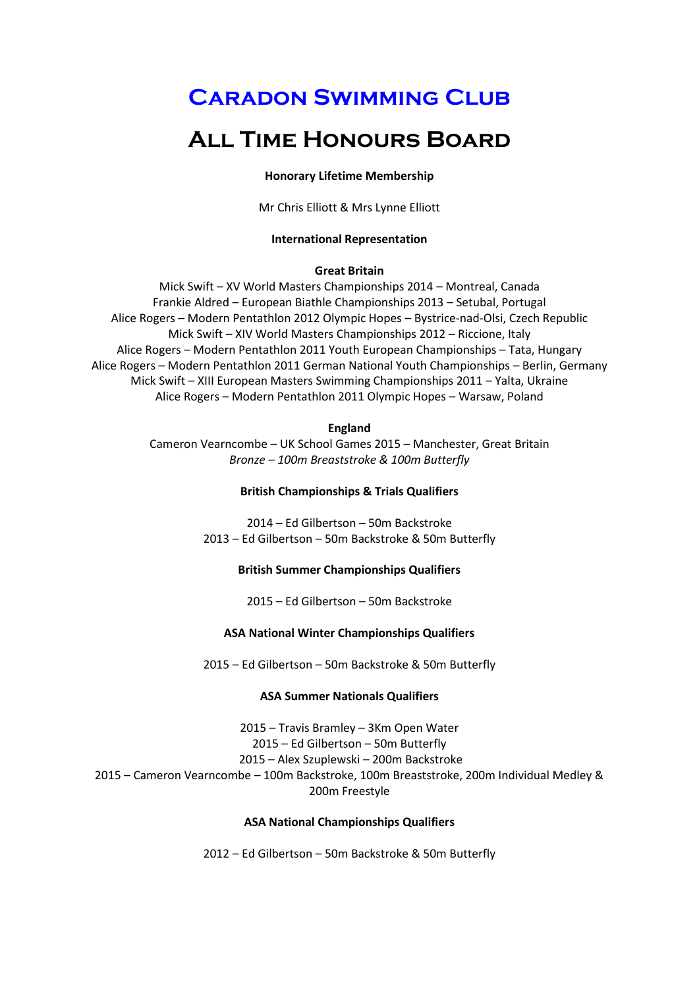# **Caradon Swimming Club**

# **All Time Honours Board**

#### **Honorary Lifetime Membership**

Mr Chris Elliott & Mrs Lynne Elliott

#### **International Representation**

## **Great Britain**

Mick Swift – XV World Masters Championships 2014 – Montreal, Canada Frankie Aldred – European Biathle Championships 2013 – Setubal, Portugal Alice Rogers – Modern Pentathlon 2012 Olympic Hopes – Bystrice-nad-Olsi, Czech Republic Mick Swift – XIV World Masters Championships 2012 – Riccione, Italy Alice Rogers – Modern Pentathlon 2011 Youth European Championships – Tata, Hungary Alice Rogers – Modern Pentathlon 2011 German National Youth Championships – Berlin, Germany Mick Swift – XIII European Masters Swimming Championships 2011 – Yalta, Ukraine Alice Rogers – Modern Pentathlon 2011 Olympic Hopes – Warsaw, Poland

#### **England**

Cameron Vearncombe – UK School Games 2015 – Manchester, Great Britain *Bronze – 100m Breaststroke & 100m Butterfly*

## **British Championships & Trials Qualifiers**

2014 – Ed Gilbertson – 50m Backstroke 2013 – Ed Gilbertson – 50m Backstroke & 50m Butterfly

# **British Summer Championships Qualifiers**

2015 – Ed Gilbertson – 50m Backstroke

# **ASA National Winter Championships Qualifiers**

2015 – Ed Gilbertson – 50m Backstroke & 50m Butterfly

# **ASA Summer Nationals Qualifiers**

– Travis Bramley – 3Km Open Water – Ed Gilbertson – 50m Butterfly – Alex Szuplewski – 200m Backstroke – Cameron Vearncombe – 100m Backstroke, 100m Breaststroke, 200m Individual Medley & 200m Freestyle

# **ASA National Championships Qualifiers**

2012 – Ed Gilbertson – 50m Backstroke & 50m Butterfly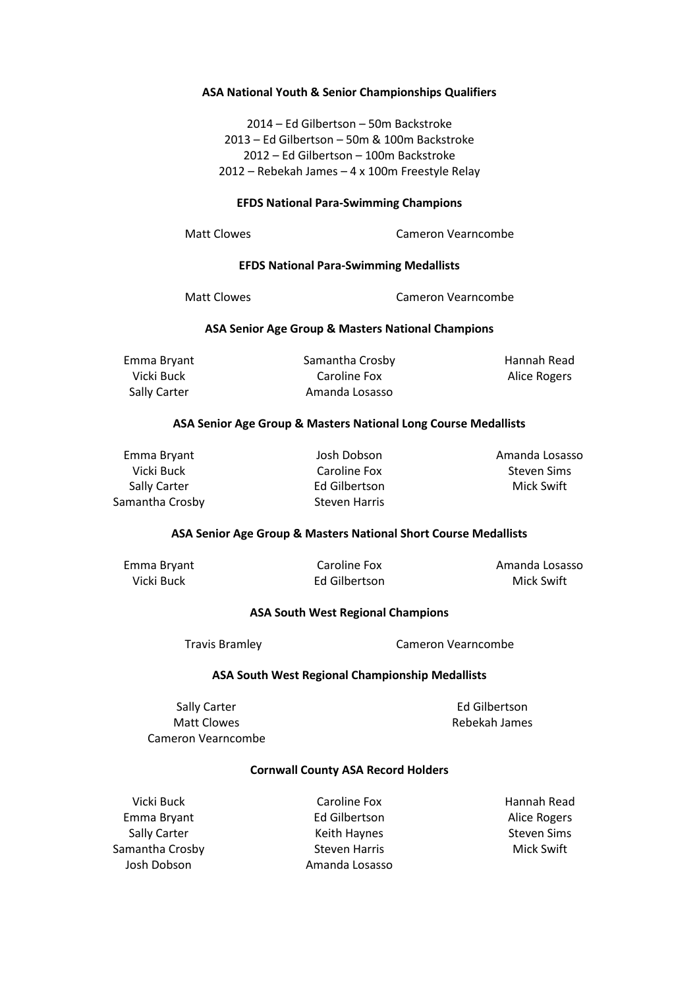## **ASA National Youth & Senior Championships Qualifiers**

– Ed Gilbertson – 50m Backstroke – Ed Gilbertson – 50m & 100m Backstroke – Ed Gilbertson – 100m Backstroke – Rebekah James – 4 x 100m Freestyle Relay

## **EFDS National Para-Swimming Champions**

Matt Clowes **Cameron Vearncombe** 

## **EFDS National Para-Swimming Medallists**

Matt Clowes Cameron Vearncombe

## **ASA Senior Age Group & Masters National Champions**

Emma Bryant Vicki Buck Sally Carter

Samantha Crosby Caroline Fox Amanda Losasso

Hannah Read Alice Rogers

## **ASA Senior Age Group & Masters National Long Course Medallists**

Emma Bryant Vicki Buck Sally Carter Samantha Crosby

Josh Dobson Caroline Fox Ed Gilbertson Steven Harris

Amanda Losasso Steven Sims Mick Swift

#### **ASA Senior Age Group & Masters National Short Course Medallists**

Emma Bryant Vicki Buck

Caroline Fox Ed Gilbertson Amanda Losasso Mick Swift

#### **ASA South West Regional Champions**

Travis Bramley **Cameron Vearncombe** 

# **ASA South West Regional Championship Medallists**

Sally Carter Matt Clowes Cameron Vearncombe

Ed Gilbertson Rebekah James

#### **Cornwall County ASA Record Holders**

Vicki Buck Emma Bryant Sally Carter Samantha Crosby Josh Dobson

Caroline Fox Ed Gilbertson Keith Haynes Steven Harris Amanda Losasso Hannah Read Alice Rogers Steven Sims Mick Swift